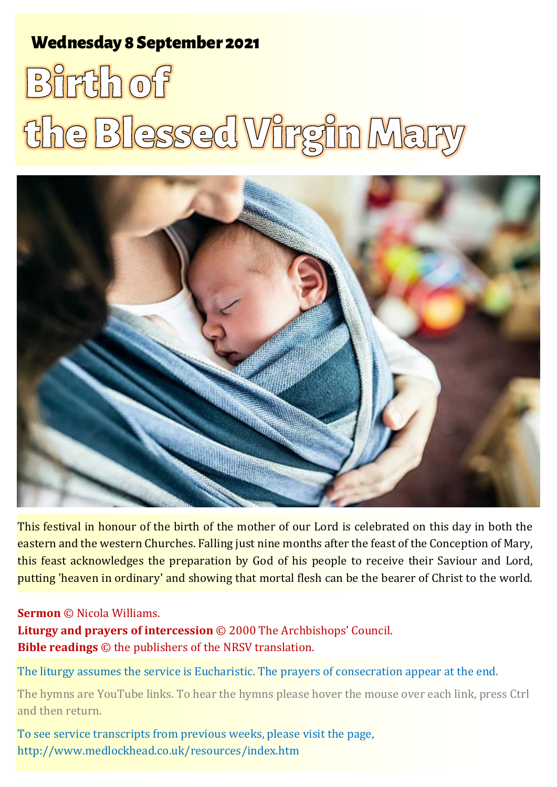# **Wednesday 8 September 2021**

# **Birth of** the Blessed Virgin Mary



This festival in honour of the birth of the mother of our Lord is celebrated on this day in both the eastern and the western Churches. Falling just nine months after the feast of the Conception of Mary, this feast acknowledges the preparation by God of his people to receive their Saviour and Lord, putting 'heaven in ordinary' and showing that mortal flesh can be the bearer of Christ to the world.

#### **Sermon** © Nicola Williams.

**Liturgy and prayers of intercession** © 2000 The Archbishops' Council. **Bible readings** © the publishers of the NRSV translation.

The liturgy assumes the service is Eucharistic. The prayers of consecration appear at the end.

The hymns are YouTube links. To hear the hymns please hover the mouse over each link, press Ctrl and then return.

To see service transcripts from previous weeks, please visit the page, <http://www.medlockhead.co.uk/resources/index.htm>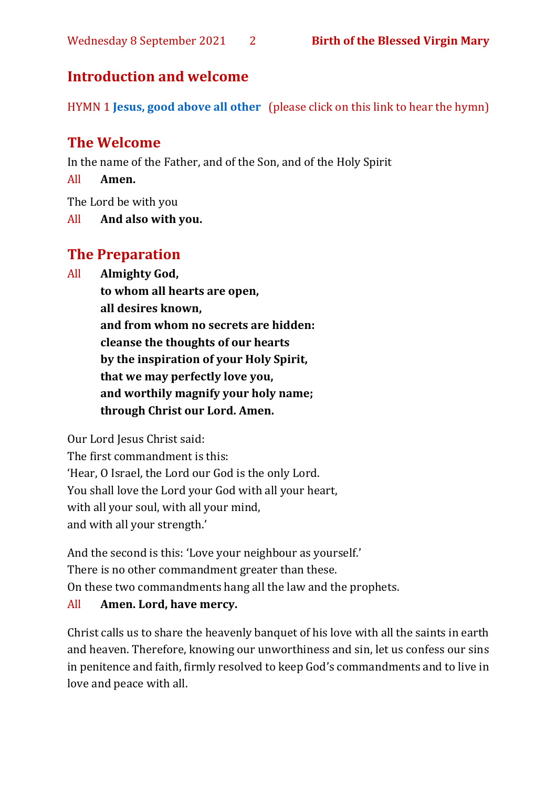# **Introduction and welcome**

HYMN 1 **[Jesus, good above all other](https://www.youtube.com/watch?v=jRnB5KkUsPo&t=4s)** (please click on this link to hear the hymn)

# **The Welcome**

In the name of the Father, and of the Son, and of the Holy Spirit

All **Amen.**

The Lord be with you

All **And also with you.**

# **The Preparation**

All **Almighty God,**

**to whom all hearts are open, all desires known, and from whom no secrets are hidden: cleanse the thoughts of our hearts by the inspiration of your Holy Spirit, that we may perfectly love you, and worthily magnify your holy name; through Christ our Lord. Amen.**

Our Lord Jesus Christ said:

The first commandment is this: 'Hear, O Israel, the Lord our God is the only Lord. You shall love the Lord your God with all your heart, with all your soul, with all your mind, and with all your strength.'

And the second is this: 'Love your neighbour as yourself.' There is no other commandment greater than these. On these two commandments hang all the law and the prophets.

#### All **Amen. Lord, have mercy.**

Christ calls us to share the heavenly banquet of his love with all the saints in earth and heaven. Therefore, knowing our unworthiness and sin, let us confess our sins in penitence and faith, firmly resolved to keep God's commandments and to live in love and peace with all.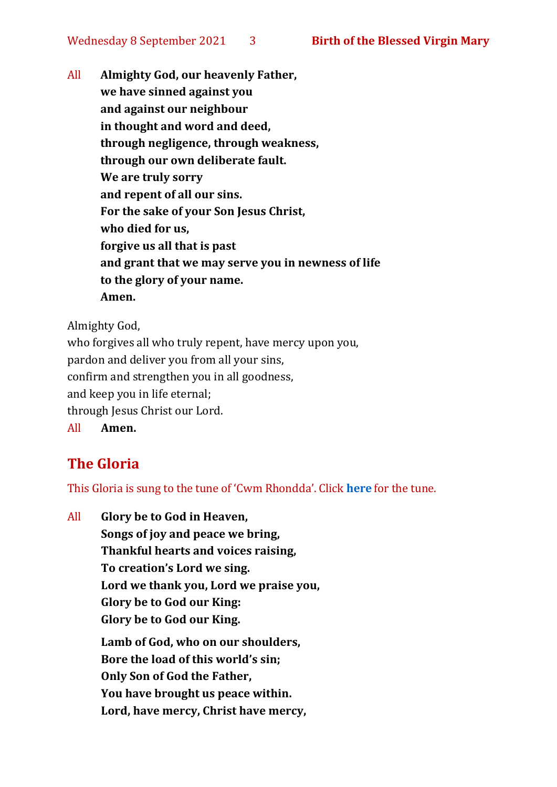All **Almighty God, our heavenly Father, we have sinned against you and against our neighbour in thought and word and deed, through negligence, through weakness, through our own deliberate fault. We are truly sorry and repent of all our sins. For the sake of your Son Jesus Christ, who died for us, forgive us all that is past and grant that we may serve you in newness of life to the glory of your name. Amen.**

Almighty God,

who forgives all who truly repent, have mercy upon you, pardon and deliver you from all your sins, confirm and strengthen you in all goodness, and keep you in life eternal; through Jesus Christ our Lord. All **Amen.**

# **The Gloria**

This Gloria is sung to the tune of 'Cwm Rhondda'. Click **[here](https://www.youtube.com/watch?v=l71MLQ22dIk)** for the tune.

All **Glory be to God in Heaven, Songs of joy and peace we bring, Thankful hearts and voices raising, To creation's Lord we sing. Lord we thank you, Lord we praise you, Glory be to God our King: Glory be to God our King. Lamb of God, who on our shoulders, Bore the load of this world's sin; Only Son of God the Father, You have brought us peace within. Lord, have mercy, Christ have mercy,**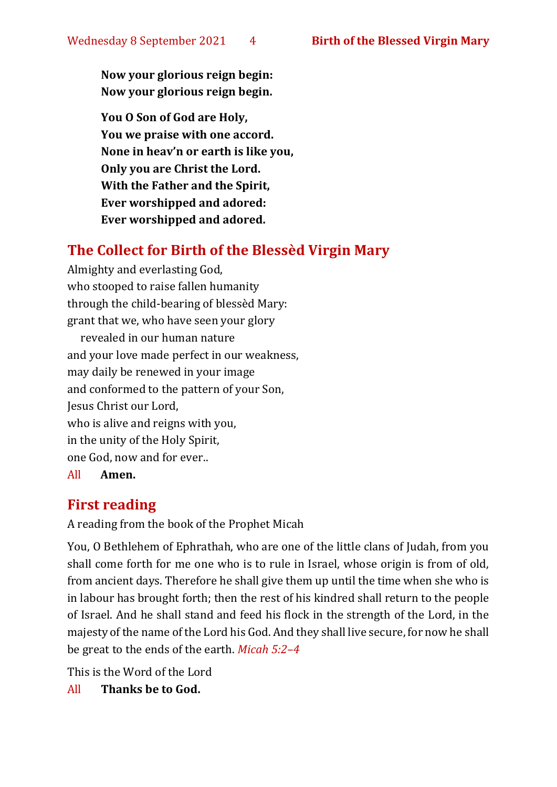**Now your glorious reign begin: Now your glorious reign begin.**

**You O Son of God are Holy, You we praise with one accord. None in heav'n or earth is like you, Only you are Christ the Lord. With the Father and the Spirit, Ever worshipped and adored: Ever worshipped and adored.**

# **The Collect for Birth of the Blessèd Virgin Mary**

Almighty and everlasting God, who stooped to raise fallen humanity through the child-bearing of blessèd Mary: grant that we, who have seen your glory

revealed in our human nature and your love made perfect in our weakness, may daily be renewed in your image and conformed to the pattern of your Son, Jesus Christ our Lord, who is alive and reigns with you, in the unity of the Holy Spirit, one God, now and for ever.. All **Amen.**

## **First reading**

A reading from the book of the Prophet Micah

You, O Bethlehem of Ephrathah, who are one of the little clans of Judah, from you shall come forth for me one who is to rule in Israel, whose origin is from of old, from ancient days. Therefore he shall give them up until the time when she who is in labour has brought forth; then the rest of his kindred shall return to the people of Israel. And he shall stand and feed his flock in the strength of the Lord, in the majesty of the name of the Lord his God. And they shall live secure, for now he shall be great to the ends of the earth. *Micah 5:2–4* 

This is the Word of the Lord

All **Thanks be to God.**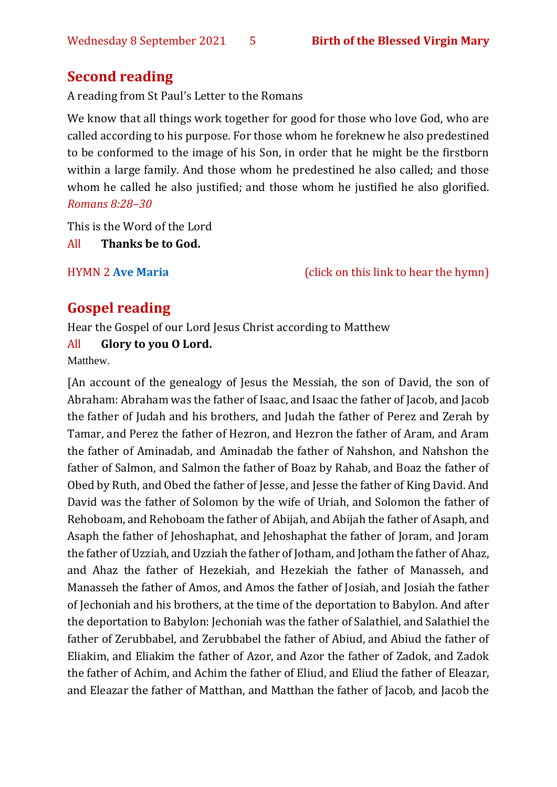### **Second reading**

A reading from St Paul's Letter to the Romans

We know that all things work together for good for those who love God, who are called according to his purpose. For those whom he foreknew he also predestined to be conformed to the image of his Son, in order that he might be the firstborn within a large family. And those whom he predestined he also called; and those whom he called he also justified; and those whom he justified he also glorified. *Romans 8:28–30*

This is the Word of the Lord

All **Thanks be to God.**

HYMN 2 **[Ave Maria](https://www.youtube.com/watch?v=j8KL63r9Zcw)** (click on this link to hear the hymn)

# **Gospel reading**

Hear the Gospel of our Lord Jesus Christ according to Matthew

#### All **Glory to you O Lord.**

Matthew.

[An account of the genealogy of Jesus the Messiah, the son of David, the son of Abraham: Abraham was the father of Isaac, and Isaac the father of Jacob, and Jacob the father of Judah and his brothers, and Judah the father of Perez and Zerah by Tamar, and Perez the father of Hezron, and Hezron the father of Aram, and Aram the father of Aminadab, and Aminadab the father of Nahshon, and Nahshon the father of Salmon, and Salmon the father of Boaz by Rahab, and Boaz the father of Obed by Ruth, and Obed the father of Jesse, and Jesse the father of King David. And David was the father of Solomon by the wife of Uriah, and Solomon the father of Rehoboam, and Rehoboam the father of Abijah, and Abijah the father of Asaph, and Asaph the father of Jehoshaphat, and Jehoshaphat the father of Joram, and Joram the father of Uzziah, and Uzziah the father of Jotham, and Jotham the father of Ahaz, and Ahaz the father of Hezekiah, and Hezekiah the father of Manasseh, and Manasseh the father of Amos, and Amos the father of Josiah, and Josiah the father of Jechoniah and his brothers, at the time of the deportation to Babylon. And after the deportation to Babylon: Jechoniah was the father of Salathiel, and Salathiel the father of Zerubbabel, and Zerubbabel the father of Abiud, and Abiud the father of Eliakim, and Eliakim the father of Azor, and Azor the father of Zadok, and Zadok the father of Achim, and Achim the father of Eliud, and Eliud the father of Eleazar, and Eleazar the father of Matthan, and Matthan the father of Jacob, and Jacob the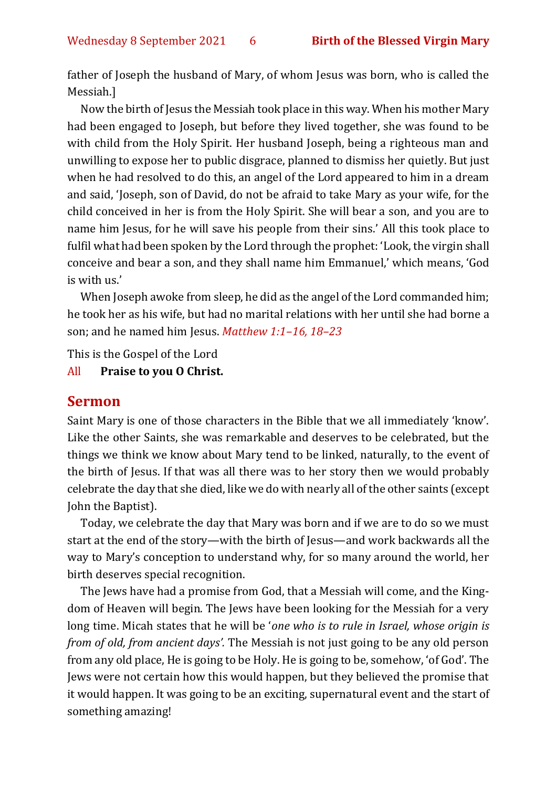father of Joseph the husband of Mary, of whom Jesus was born, who is called the Messiah.]

Now the birth of Jesus the Messiah took place in this way. When his mother Mary had been engaged to Joseph, but before they lived together, she was found to be with child from the Holy Spirit. Her husband Joseph, being a righteous man and unwilling to expose her to public disgrace, planned to dismiss her quietly. But just when he had resolved to do this, an angel of the Lord appeared to him in a dream and said, 'Joseph, son of David, do not be afraid to take Mary as your wife, for the child conceived in her is from the Holy Spirit. She will bear a son, and you are to name him Jesus, for he will save his people from their sins.' All this took place to fulfil what had been spoken by the Lord through the prophet: 'Look, the virgin shall conceive and bear a son, and they shall name him Emmanuel,' which means, 'God is with us.'

When Joseph awoke from sleep, he did as the angel of the Lord commanded him; he took her as his wife, but had no marital relations with her until she had borne a son; and he named him Jesus. *Matthew 1:1–16, 18–23* 

This is the Gospel of the Lord

#### All **Praise to you O Christ.**

#### **Sermon**

Saint Mary is one of those characters in the Bible that we all immediately 'know'. Like the other Saints, she was remarkable and deserves to be celebrated, but the things we think we know about Mary tend to be linked, naturally, to the event of the birth of Jesus. If that was all there was to her story then we would probably celebrate the day that she died, like we do with nearly all of the other saints (except John the Baptist).

Today, we celebrate the day that Mary was born and if we are to do so we must start at the end of the story—with the birth of Jesus—and work backwards all the way to Mary's conception to understand why, for so many around the world, her birth deserves special recognition.

The Jews have had a promise from God, that a Messiah will come, and the Kingdom of Heaven will begin. The Jews have been looking for the Messiah for a very long time. Micah states that he will be '*one who is to rule in Israel, whose origin is from of old, from ancient days'.* The Messiah is not just going to be any old person from any old place, He is going to be Holy. He is going to be, somehow, 'of God'. The Jews were not certain how this would happen, but they believed the promise that it would happen. It was going to be an exciting, supernatural event and the start of something amazing!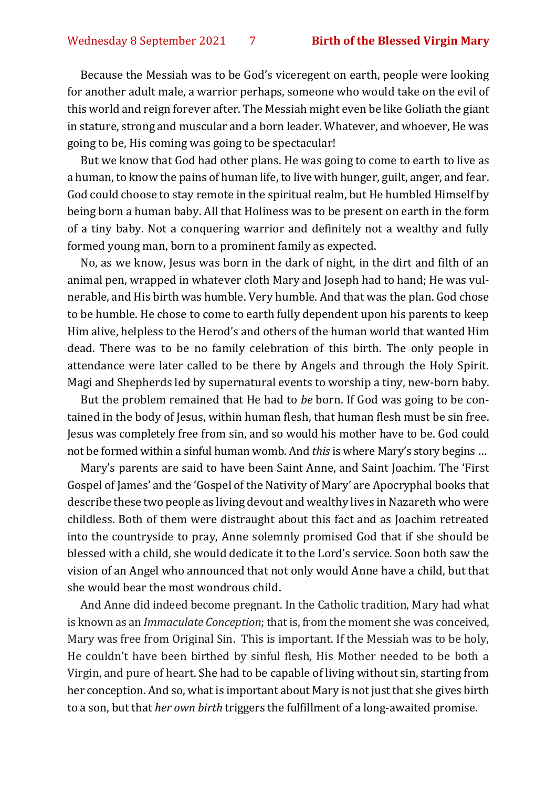Because the Messiah was to be God's viceregent on earth, people were looking for another adult male, a warrior perhaps, someone who would take on the evil of this world and reign forever after. The Messiah might even be like Goliath the giant in stature, strong and muscular and a born leader. Whatever, and whoever, He was going to be, His coming was going to be spectacular!

But we know that God had other plans. He was going to come to earth to live as a human, to know the pains of human life, to live with hunger, guilt, anger, and fear. God could choose to stay remote in the spiritual realm, but He humbled Himself by being born a human baby. All that Holiness was to be present on earth in the form of a tiny baby. Not a conquering warrior and definitely not a wealthy and fully formed young man, born to a prominent family as expected.

No, as we know, Jesus was born in the dark of night, in the dirt and filth of an animal pen, wrapped in whatever cloth Mary and Joseph had to hand; He was vulnerable, and His birth was humble. Very humble. And that was the plan. God chose to be humble. He chose to come to earth fully dependent upon his parents to keep Him alive, helpless to the Herod's and others of the human world that wanted Him dead. There was to be no family celebration of this birth. The only people in attendance were later called to be there by Angels and through the Holy Spirit. Magi and Shepherds led by supernatural events to worship a tiny, new-born baby.

But the problem remained that He had to *be* born. If God was going to be contained in the body of Jesus, within human flesh, that human flesh must be sin free. Jesus was completely free from sin, and so would his mother have to be. God could not be formed within a sinful human womb. And *this* is where Mary's story begins …

Mary's parents are said to have been Saint Anne, and Saint Joachim. The 'First Gospel of James' and the 'Gospel of the Nativity of Mary' are Apocryphal books that describe these two people as living devout and wealthy lives in Nazareth who were childless. Both of them were distraught about this fact and as Joachim retreated into the countryside to pray, Anne solemnly promised God that if she should be blessed with a child, she would dedicate it to the Lord's service. Soon both saw the vision of an Angel who announced that not only would Anne have a child, but that she would bear the most wondrous child.

And Anne did indeed become pregnant. In the Catholic tradition, Mary had what is known as an *Immaculate Conception*; that is, from the moment she was conceived, Mary was free from Original Sin. This is important. If the Messiah was to be holy, He couldn't have been birthed by sinful flesh, His Mother needed to be both a Virgin, and pure of heart. She had to be capable of living without sin, starting from her conception. And so, what is important about Mary is not just that she gives birth to a son, but that *her own birth* triggers the fulfillment of a long-awaited promise.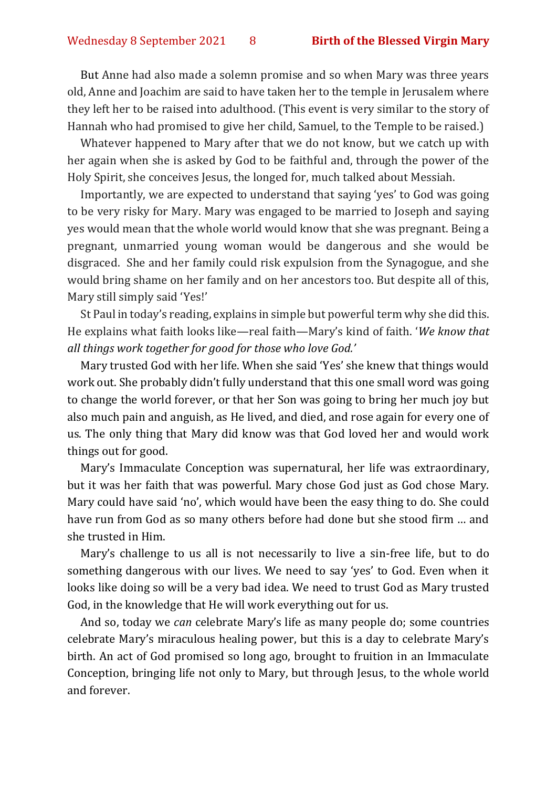But Anne had also made a solemn promise and so when Mary was three years old, Anne and Joachim are said to have taken her to the temple in Jerusalem where they left her to be raised into adulthood. (This event is very similar to the story of Hannah who had promised to give her child, Samuel, to the Temple to be raised.)

Whatever happened to Mary after that we do not know, but we catch up with her again when she is asked by God to be faithful and, through the power of the Holy Spirit, she conceives Jesus, the longed for, much talked about Messiah.

Importantly, we are expected to understand that saying 'yes' to God was going to be very risky for Mary. Mary was engaged to be married to Joseph and saying yes would mean that the whole world would know that she was pregnant. Being a pregnant, unmarried young woman would be dangerous and she would be disgraced. She and her family could risk expulsion from the Synagogue, and she would bring shame on her family and on her ancestors too. But despite all of this, Mary still simply said 'Yes!'

St Paul in today's reading, explains in simple but powerful term why she did this. He explains what faith looks like—real faith—Mary's kind of faith. '*We know that all things work together for good for those who love God.'*

Mary trusted God with her life. When she said 'Yes' she knew that things would work out. She probably didn't fully understand that this one small word was going to change the world forever, or that her Son was going to bring her much joy but also much pain and anguish, as He lived, and died, and rose again for every one of us. The only thing that Mary did know was that God loved her and would work things out for good.

Mary's Immaculate Conception was supernatural, her life was extraordinary, but it was her faith that was powerful. Mary chose God just as God chose Mary. Mary could have said 'no', which would have been the easy thing to do. She could have run from God as so many others before had done but she stood firm … and she trusted in Him.

Mary's challenge to us all is not necessarily to live a sin-free life, but to do something dangerous with our lives. We need to say 'yes' to God. Even when it looks like doing so will be a very bad idea. We need to trust God as Mary trusted God, in the knowledge that He will work everything out for us.

And so, today we *can* celebrate Mary's life as many people do; some countries celebrate Mary's miraculous healing power, but this is a day to celebrate Mary's birth. An act of God promised so long ago, brought to fruition in an Immaculate Conception, bringing life not only to Mary, but through Jesus, to the whole world and forever.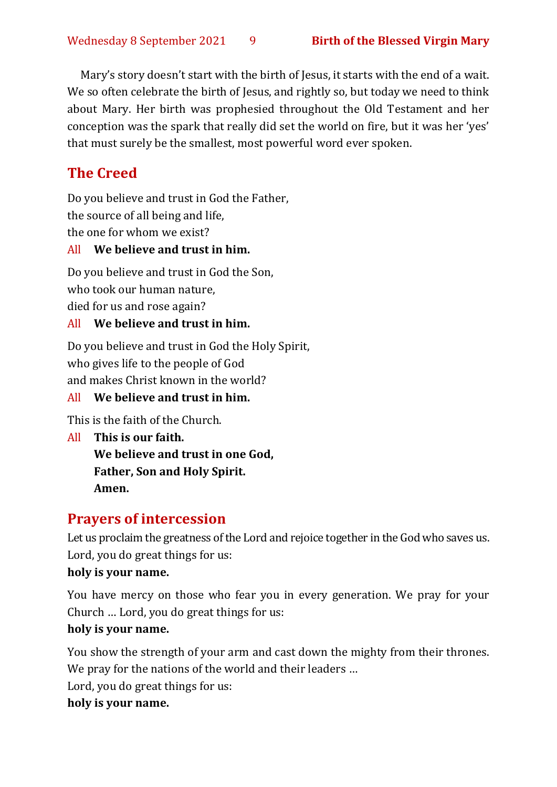Mary's story doesn't start with the birth of Jesus, it starts with the end of a wait. We so often celebrate the birth of Jesus, and rightly so, but today we need to think about Mary. Her birth was prophesied throughout the Old Testament and her conception was the spark that really did set the world on fire, but it was her 'yes' that must surely be the smallest, most powerful word ever spoken.

# **The Creed**

Do you believe and trust in God the Father, the source of all being and life, the one for whom we exist?

#### All **We believe and trust in him.**

Do you believe and trust in God the Son, who took our human nature, died for us and rose again?

#### All **We believe and trust in him.**

Do you believe and trust in God the Holy Spirit, who gives life to the people of God and makes Christ known in the world?

#### All **We believe and trust in him.**

This is the faith of the Church.

All **This is our faith. We believe and trust in one God, Father, Son and Holy Spirit. Amen.**

# **Prayers of intercession**

Let us proclaim the greatness of the Lord and rejoice together in the God who saves us. Lord, you do great things for us:

#### **holy is your name.**

You have mercy on those who fear you in every generation. We pray for your Church … Lord, you do great things for us: **holy is your name.**

# You show the strength of your arm and cast down the mighty from their thrones. We pray for the nations of the world and their leaders ...

Lord, you do great things for us:

#### **holy is your name.**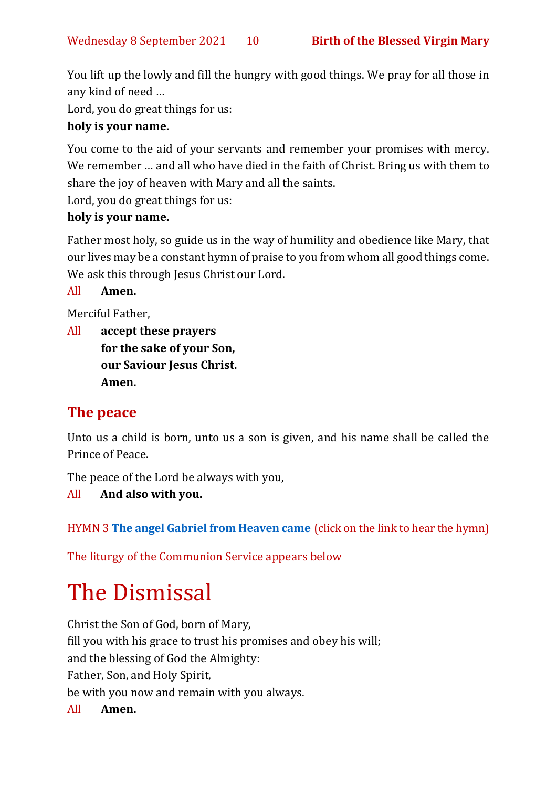You lift up the lowly and fill the hungry with good things. We pray for all those in any kind of need …

Lord, you do great things for us:

#### **holy is your name.**

You come to the aid of your servants and remember your promises with mercy. We remember … and all who have died in the faith of Christ. Bring us with them to share the joy of heaven with Mary and all the saints.

Lord, you do great things for us:

#### **holy is your name.**

Father most holy, so guide us in the way of humility and obedience like Mary, that our lives may be a constant hymn of praise to you from whom all good things come. We ask this through Jesus Christ our Lord.

All **Amen.**

Merciful Father,

All **accept these prayers for the sake of your Son, our Saviour Jesus Christ. Amen.**

# **The peace**

Unto us a child is born, unto us a son is given, and his name shall be called the Prince of Peace.

The peace of the Lord be always with you,

All **And also with you.**

HYMN 3 **[The angel Gabriel from Heaven came](https://www.youtube.com/watch?v=pliqObTHxUQ)** (click on the link to hear the hymn)

The liturgy of the Communion Service appears below

# The Dismissal

Christ the Son of God, born of Mary, fill you with his grace to trust his promises and obey his will; and the blessing of God the Almighty: Father, Son, and Holy Spirit, be with you now and remain with you always. All **Amen.**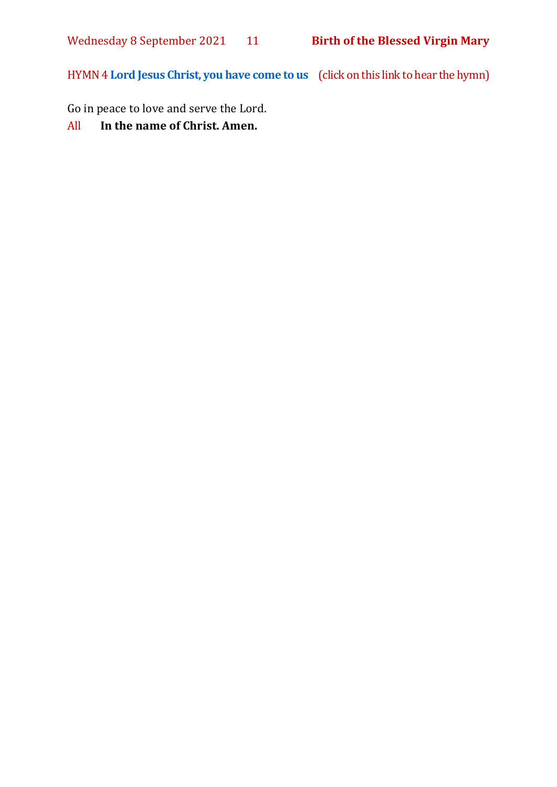HYMN 4 **[Lord Jesus Christ, you have come to us](https://www.youtube.com/watch?v=ekVLG-p8Xsc)** (click on this link to hear the hymn)

Go in peace to love and serve the Lord.

All **In the name of Christ. Amen.**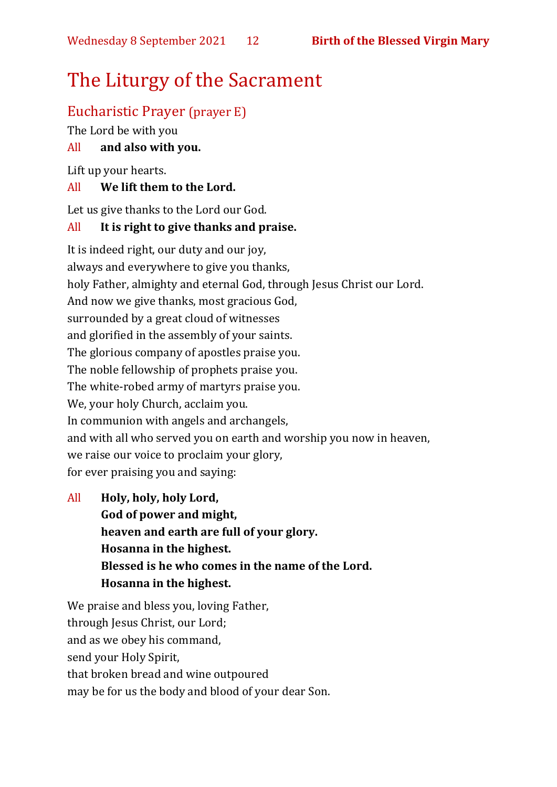# The Liturgy of the Sacrament

# Eucharistic Prayer (prayer E)

The Lord be with you

### All **and also with you.**

Lift up your hearts.

#### All **We lift them to the Lord.**

Let us give thanks to the Lord our God.

#### All **It is right to give thanks and praise.**

It is indeed right, our duty and our joy, always and everywhere to give you thanks, holy Father, almighty and eternal God, through Jesus Christ our Lord. And now we give thanks, most gracious God, surrounded by a great cloud of witnesses and glorified in the assembly of your saints. The glorious company of apostles praise you. The noble fellowship of prophets praise you. The white-robed army of martyrs praise you. We, your holy Church, acclaim you. In communion with angels and archangels, and with all who served you on earth and worship you now in heaven, we raise our voice to proclaim your glory, for ever praising you and saying:

All **Holy, holy, holy Lord, God of power and might, heaven and earth are full of your glory. Hosanna in the highest. Blessed is he who comes in the name of the Lord. Hosanna in the highest.**

We praise and bless you, loving Father, through Jesus Christ, our Lord; and as we obey his command, send your Holy Spirit, that broken bread and wine outpoured may be for us the body and blood of your dear Son.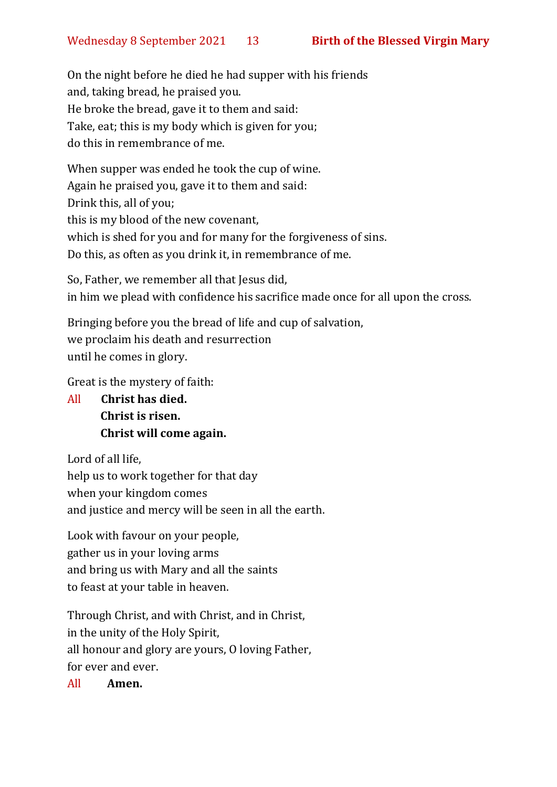On the night before he died he had supper with his friends and, taking bread, he praised you. He broke the bread, gave it to them and said: Take, eat; this is my body which is given for you; do this in remembrance of me.

When supper was ended he took the cup of wine. Again he praised you, gave it to them and said: Drink this, all of you; this is my blood of the new covenant, which is shed for you and for many for the forgiveness of sins. Do this, as often as you drink it, in remembrance of me.

So, Father, we remember all that Jesus did, in him we plead with confidence his sacrifice made once for all upon the cross.

Bringing before you the bread of life and cup of salvation, we proclaim his death and resurrection until he comes in glory.

Great is the mystery of faith:

All **Christ has died. Christ is risen. Christ will come again.**

Lord of all life, help us to work together for that day when your kingdom comes and justice and mercy will be seen in all the earth.

Look with favour on your people, gather us in your loving arms and bring us with Mary and all the saints to feast at your table in heaven.

Through Christ, and with Christ, and in Christ, in the unity of the Holy Spirit, all honour and glory are yours, O loving Father, for ever and ever.

All **Amen.**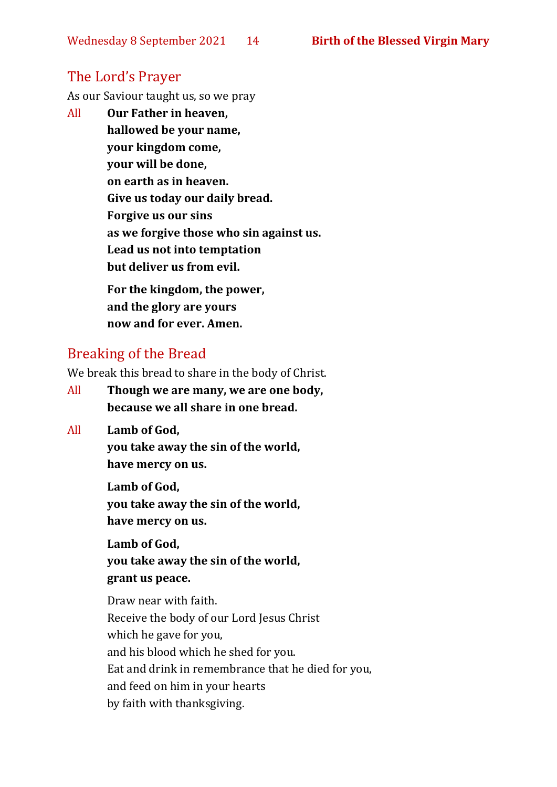## The Lord's Prayer

As our Saviour taught us, so we pray

All **Our Father in heaven, hallowed be your name, your kingdom come, your will be done, on earth as in heaven. Give us today our daily bread. Forgive us our sins as we forgive those who sin against us. Lead us not into temptation but deliver us from evil. For the kingdom, the power,** 

**and the glory are yours now and for ever. Amen.**

#### Breaking of the Bread

We break this bread to share in the body of Christ.

- All **Though we are many, we are one body, because we all share in one bread.**
- All **Lamb of God,**

**you take away the sin of the world, have mercy on us.**

**Lamb of God, you take away the sin of the world, have mercy on us.**

**Lamb of God, you take away the sin of the world, grant us peace.**

Draw near with faith. Receive the body of our Lord Jesus Christ which he gave for you, and his blood which he shed for you. Eat and drink in remembrance that he died for you, and feed on him in your hearts by faith with thanksgiving.